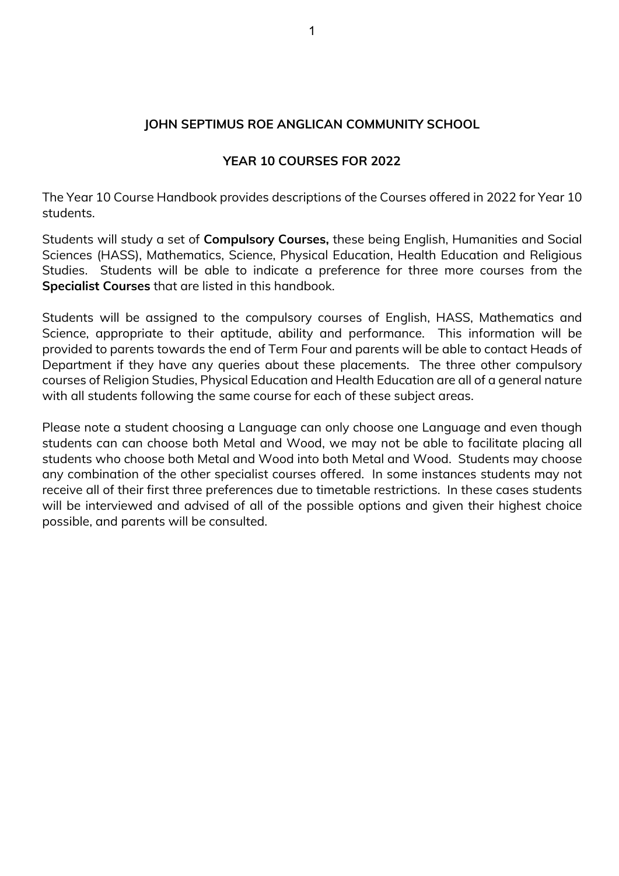### **JOHN SEPTIMUS ROE ANGLICAN COMMUNITY SCHOOL**

#### **YEAR 10 COURSES FOR 2022**

The Year 10 Course Handbook provides descriptions of the Courses offered in 2022 for Year 10 students.

Students will study a set of **Compulsory Courses,** these being English, Humanities and Social Sciences (HASS), Mathematics, Science, Physical Education, Health Education and Religious Studies. Students will be able to indicate a preference for three more courses from the **Specialist Courses** that are listed in this handbook.

Students will be assigned to the compulsory courses of English, HASS, Mathematics and Science, appropriate to their aptitude, ability and performance. This information will be provided to parents towards the end of Term Four and parents will be able to contact Heads of Department if they have any queries about these placements. The three other compulsory courses of Religion Studies, Physical Education and Health Education are all of a general nature with all students following the same course for each of these subject areas.

Please note a student choosing a Language can only choose one Language and even though students can can choose both Metal and Wood, we may not be able to facilitate placing all students who choose both Metal and Wood into both Metal and Wood. Students may choose any combination of the other specialist courses offered. In some instances students may not receive all of their first three preferences due to timetable restrictions. In these cases students will be interviewed and advised of all of the possible options and given their highest choice possible, and parents will be consulted.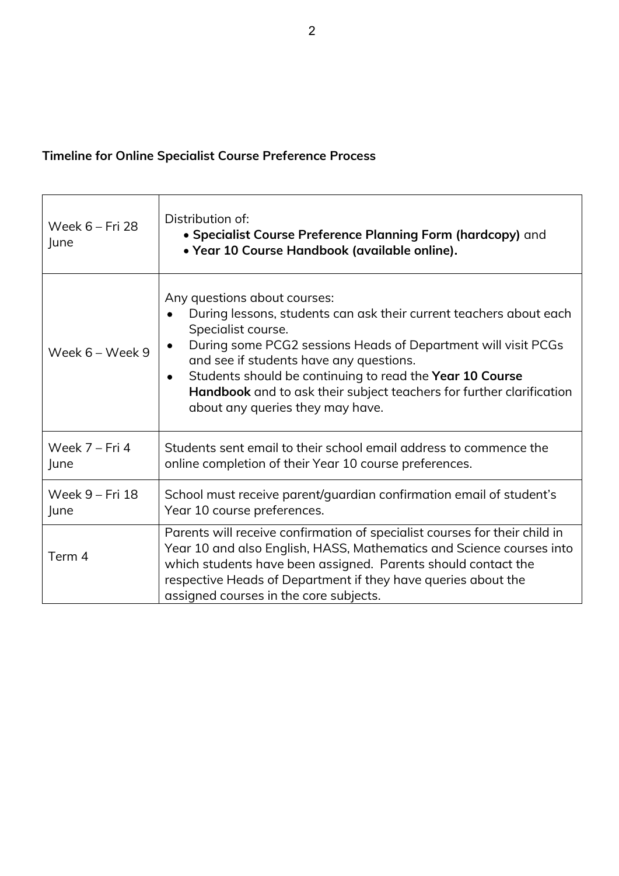# **Timeline for Online Specialist Course Preference Process**

| Week 6 - Fri 28<br>June | Distribution of:<br>• Specialist Course Preference Planning Form (hardcopy) and<br>• Year 10 Course Handbook (available online).                                                                                                                                                                                                                                                                                                       |  |
|-------------------------|----------------------------------------------------------------------------------------------------------------------------------------------------------------------------------------------------------------------------------------------------------------------------------------------------------------------------------------------------------------------------------------------------------------------------------------|--|
| Week 6 - Week 9         | Any questions about courses:<br>During lessons, students can ask their current teachers about each<br>Specialist course.<br>During some PCG2 sessions Heads of Department will visit PCGs<br>$\bullet$<br>and see if students have any questions.<br>Students should be continuing to read the Year 10 Course<br>$\bullet$<br>Handbook and to ask their subject teachers for further clarification<br>about any queries they may have. |  |
| Week 7 - Fri 4<br>June  | Students sent email to their school email address to commence the<br>online completion of their Year 10 course preferences.                                                                                                                                                                                                                                                                                                            |  |
| Week 9 - Fri 18<br>June | School must receive parent/guardian confirmation email of student's<br>Year 10 course preferences.                                                                                                                                                                                                                                                                                                                                     |  |
| Term 4                  | Parents will receive confirmation of specialist courses for their child in<br>Year 10 and also English, HASS, Mathematics and Science courses into<br>which students have been assigned. Parents should contact the<br>respective Heads of Department if they have queries about the<br>assigned courses in the core subjects.                                                                                                         |  |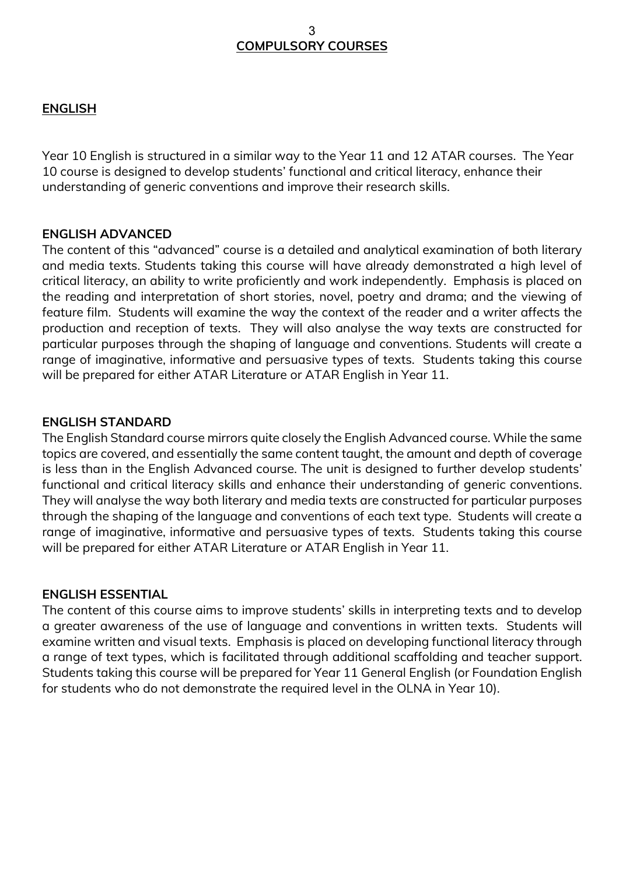#### **ENGLISH**

Year 10 English is structured in a similar way to the Year 11 and 12 ATAR courses. The Year 10 course is designed to develop students' functional and critical literacy, enhance their understanding of generic conventions and improve their research skills.

#### **ENGLISH ADVANCED**

The content of this "advanced" course is a detailed and analytical examination of both literary and media texts. Students taking this course will have already demonstrated a high level of critical literacy, an ability to write proficiently and work independently. Emphasis is placed on the reading and interpretation of short stories, novel, poetry and drama; and the viewing of feature film. Students will examine the way the context of the reader and a writer affects the production and reception of texts. They will also analyse the way texts are constructed for particular purposes through the shaping of language and conventions. Students will create a range of imaginative, informative and persuasive types of texts. Students taking this course will be prepared for either ATAR Literature or ATAR English in Year 11.

#### **ENGLISH STANDARD**

The English Standard course mirrors quite closely the English Advanced course. While the same topics are covered, and essentially the same content taught, the amount and depth of coverage is less than in the English Advanced course. The unit is designed to further develop students' functional and critical literacy skills and enhance their understanding of generic conventions. They will analyse the way both literary and media texts are constructed for particular purposes through the shaping of the language and conventions of each text type. Students will create a range of imaginative, informative and persuasive types of texts. Students taking this course will be prepared for either ATAR Literature or ATAR English in Year 11.

#### **ENGLISH ESSENTIAL**

The content of this course aims to improve students' skills in interpreting texts and to develop a greater awareness of the use of language and conventions in written texts. Students will examine written and visual texts. Emphasis is placed on developing functional literacy through a range of text types, which is facilitated through additional scaffolding and teacher support. Students taking this course will be prepared for Year 11 General English (or Foundation English for students who do not demonstrate the required level in the OLNA in Year 10).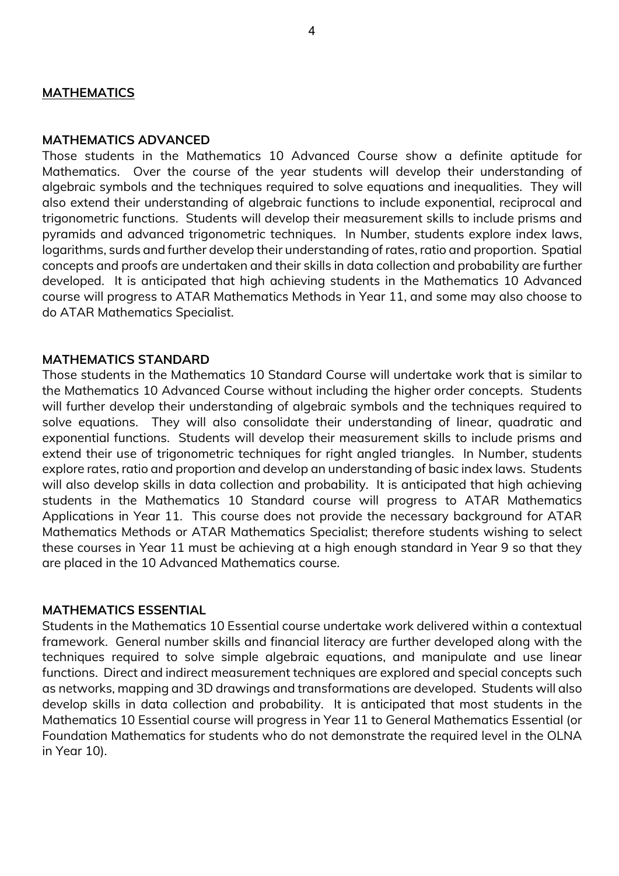#### **MATHEMATICS**

#### **MATHEMATICS ADVANCED**

Those students in the Mathematics 10 Advanced Course show a definite aptitude for Mathematics. Over the course of the year students will develop their understanding of algebraic symbols and the techniques required to solve equations and inequalities. They will also extend their understanding of algebraic functions to include exponential, reciprocal and trigonometric functions. Students will develop their measurement skills to include prisms and pyramids and advanced trigonometric techniques. In Number, students explore index laws, logarithms, surds and further develop their understanding of rates, ratio and proportion. Spatial concepts and proofs are undertaken and their skills in data collection and probability are further developed. It is anticipated that high achieving students in the Mathematics 10 Advanced course will progress to ATAR Mathematics Methods in Year 11, and some may also choose to do ATAR Mathematics Specialist.

#### **MATHEMATICS STANDARD**

Those students in the Mathematics 10 Standard Course will undertake work that is similar to the Mathematics 10 Advanced Course without including the higher order concepts. Students will further develop their understanding of algebraic symbols and the techniques required to solve equations. They will also consolidate their understanding of linear, quadratic and exponential functions. Students will develop their measurement skills to include prisms and extend their use of trigonometric techniques for right angled triangles. In Number, students explore rates, ratio and proportion and develop an understanding of basic index laws. Students will also develop skills in data collection and probability. It is anticipated that high achieving students in the Mathematics 10 Standard course will progress to ATAR Mathematics Applications in Year 11. This course does not provide the necessary background for ATAR Mathematics Methods or ATAR Mathematics Specialist; therefore students wishing to select these courses in Year 11 must be achieving at a high enough standard in Year 9 so that they are placed in the 10 Advanced Mathematics course.

#### **MATHEMATICS ESSENTIAL**

Students in the Mathematics 10 Essential course undertake work delivered within a contextual framework. General number skills and financial literacy are further developed along with the techniques required to solve simple algebraic equations, and manipulate and use linear functions. Direct and indirect measurement techniques are explored and special concepts such as networks, mapping and 3D drawings and transformations are developed. Students will also develop skills in data collection and probability. It is anticipated that most students in the Mathematics 10 Essential course will progress in Year 11 to General Mathematics Essential (or Foundation Mathematics for students who do not demonstrate the required level in the OLNA in Year 10).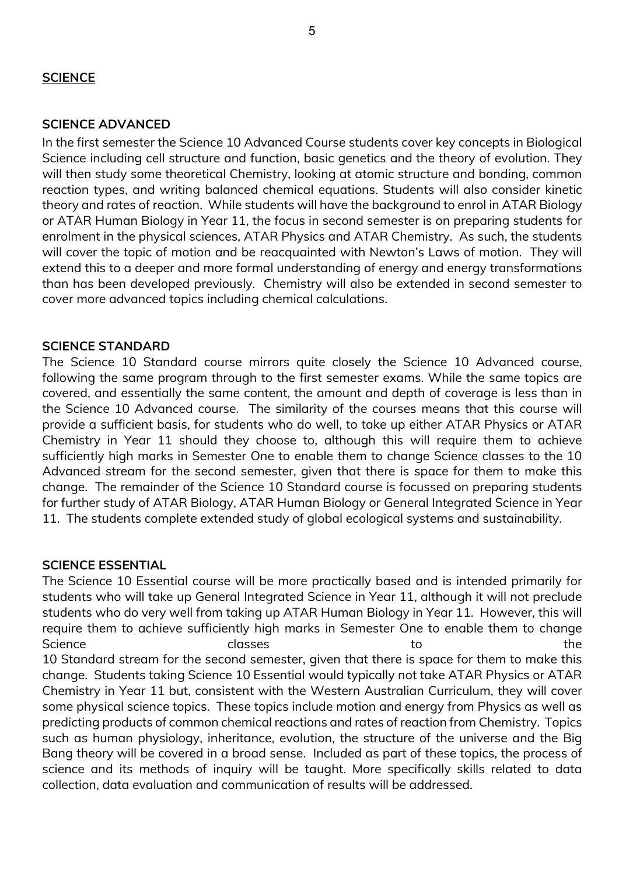## **SCIENCE**

#### **SCIENCE ADVANCED**

In the first semester the Science 10 Advanced Course students cover key concepts in Biological Science including cell structure and function, basic genetics and the theory of evolution. They will then study some theoretical Chemistry, looking at atomic structure and bonding, common reaction types, and writing balanced chemical equations. Students will also consider kinetic theory and rates of reaction. While students will have the background to enrol in ATAR Biology or ATAR Human Biology in Year 11, the focus in second semester is on preparing students for enrolment in the physical sciences, ATAR Physics and ATAR Chemistry. As such, the students will cover the topic of motion and be reacquainted with Newton's Laws of motion. They will extend this to a deeper and more formal understanding of energy and energy transformations than has been developed previously. Chemistry will also be extended in second semester to cover more advanced topics including chemical calculations.

#### **SCIENCE STANDARD**

The Science 10 Standard course mirrors quite closely the Science 10 Advanced course, following the same program through to the first semester exams. While the same topics are covered, and essentially the same content, the amount and depth of coverage is less than in the Science 10 Advanced course. The similarity of the courses means that this course will provide a sufficient basis, for students who do well, to take up either ATAR Physics or ATAR Chemistry in Year 11 should they choose to, although this will require them to achieve sufficiently high marks in Semester One to enable them to change Science classes to the 10 Advanced stream for the second semester, given that there is space for them to make this change. The remainder of the Science 10 Standard course is focussed on preparing students for further study of ATAR Biology, ATAR Human Biology or General Integrated Science in Year 11. The students complete extended study of global ecological systems and sustainability.

#### **SCIENCE ESSENTIAL**

The Science 10 Essential course will be more practically based and is intended primarily for students who will take up General Integrated Science in Year 11, although it will not preclude students who do very well from taking up ATAR Human Biology in Year 11. However, this will require them to achieve sufficiently high marks in Semester One to enable them to change Science the classes to the control of the control of the control of the control of the control of the control o 10 Standard stream for the second semester, given that there is space for them to make this change. Students taking Science 10 Essential would typically not take ATAR Physics or ATAR Chemistry in Year 11 but, consistent with the Western Australian Curriculum, they will cover some physical science topics. These topics include motion and energy from Physics as well as predicting products of common chemical reactions and rates of reaction from Chemistry. Topics such as human physiology, inheritance, evolution, the structure of the universe and the Big Bang theory will be covered in a broad sense. Included as part of these topics, the process of science and its methods of inquiry will be taught. More specifically skills related to data collection, data evaluation and communication of results will be addressed.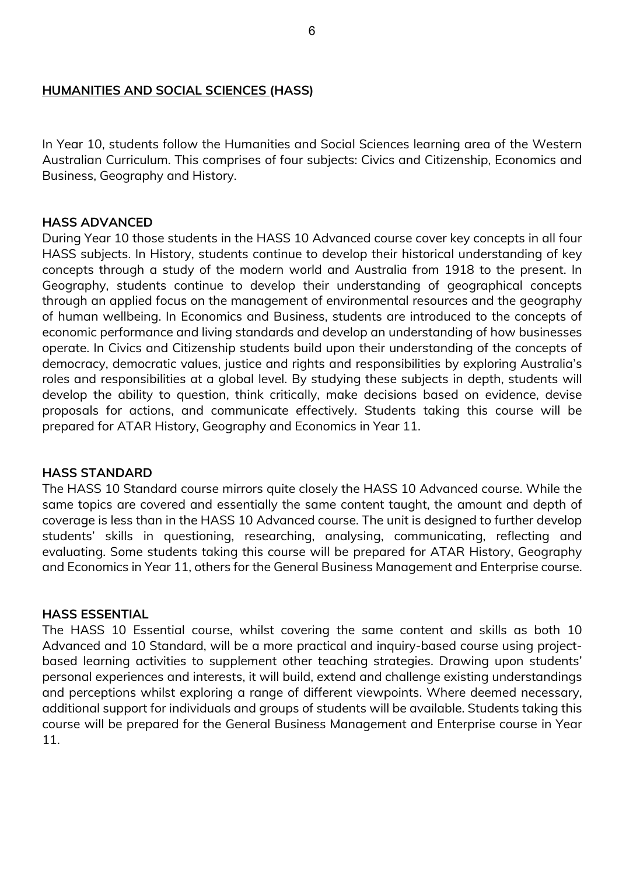#### **HUMANITIES AND SOCIAL SCIENCES (HASS)**

In Year 10, students follow the Humanities and Social Sciences learning area of the Western Australian Curriculum. This comprises of four subjects: Civics and Citizenship, Economics and Business, Geography and History.

#### **HASS ADVANCED**

During Year 10 those students in the HASS 10 Advanced course cover key concepts in all four HASS subjects. In History, students continue to develop their historical understanding of key concepts through a study of the modern world and Australia from 1918 to the present. In Geography, students continue to develop their understanding of geographical concepts through an applied focus on the management of environmental resources and the geography of human wellbeing. In Economics and Business, students are introduced to the concepts of economic performance and living standards and develop an understanding of how businesses operate. In Civics and Citizenship students build upon their understanding of the concepts of democracy, democratic values, justice and rights and responsibilities by exploring Australia's roles and responsibilities at a global level. By studying these subjects in depth, students will develop the ability to question, think critically, make decisions based on evidence, devise proposals for actions, and communicate effectively. Students taking this course will be prepared for ATAR History, Geography and Economics in Year 11.

#### **HASS STANDARD**

The HASS 10 Standard course mirrors quite closely the HASS 10 Advanced course. While the same topics are covered and essentially the same content taught, the amount and depth of coverage is less than in the HASS 10 Advanced course. The unit is designed to further develop students' skills in questioning, researching, analysing, communicating, reflecting and evaluating. Some students taking this course will be prepared for ATAR History, Geography and Economics in Year 11, others for the General Business Management and Enterprise course.

#### **HASS ESSENTIAL**

The HASS 10 Essential course, whilst covering the same content and skills as both 10 Advanced and 10 Standard, will be a more practical and inquiry-based course using projectbased learning activities to supplement other teaching strategies. Drawing upon students' personal experiences and interests, it will build, extend and challenge existing understandings and perceptions whilst exploring a range of different viewpoints. Where deemed necessary, additional support for individuals and groups of students will be available. Students taking this course will be prepared for the General Business Management and Enterprise course in Year 11.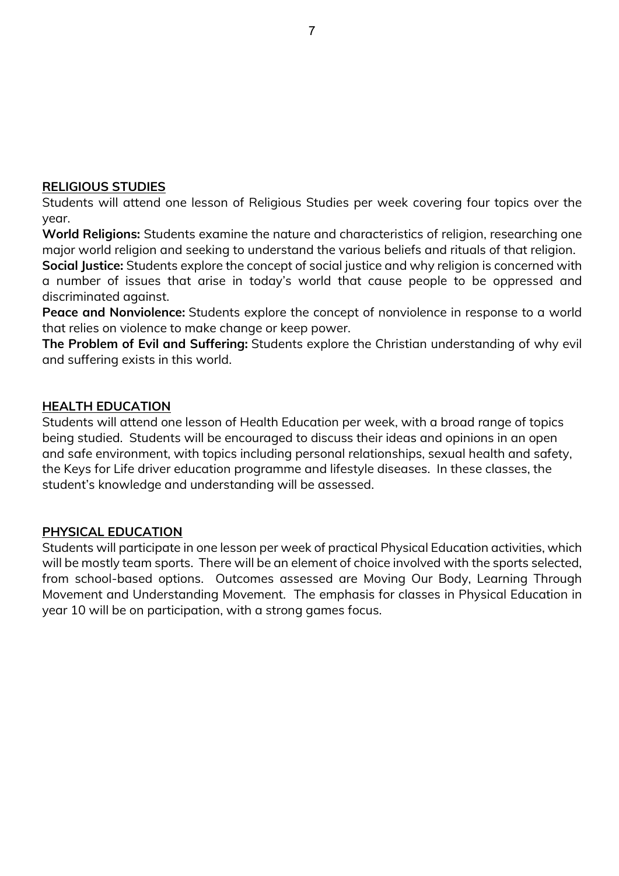#### **RELIGIOUS STUDIES**

Students will attend one lesson of Religious Studies per week covering four topics over the year.

**World Religions:** Students examine the nature and characteristics of religion, researching one major world religion and seeking to understand the various beliefs and rituals of that religion.

**Social Justice:** Students explore the concept of social justice and why religion is concerned with a number of issues that arise in today's world that cause people to be oppressed and discriminated against.

**Peace and Nonviolence:** Students explore the concept of nonviolence in response to a world that relies on violence to make change or keep power.

**The Problem of Evil and Suffering:** Students explore the Christian understanding of why evil and suffering exists in this world.

### **HEALTH EDUCATION**

Students will attend one lesson of Health Education per week, with a broad range of topics being studied. Students will be encouraged to discuss their ideas and opinions in an open and safe environment, with topics including personal relationships, sexual health and safety, the Keys for Life driver education programme and lifestyle diseases. In these classes, the student's knowledge and understanding will be assessed.

### **PHYSICAL EDUCATION**

Students will participate in one lesson per week of practical Physical Education activities, which will be mostly team sports. There will be an element of choice involved with the sports selected, from school-based options. Outcomes assessed are Moving Our Body, Learning Through Movement and Understanding Movement. The emphasis for classes in Physical Education in year 10 will be on participation, with a strong games focus.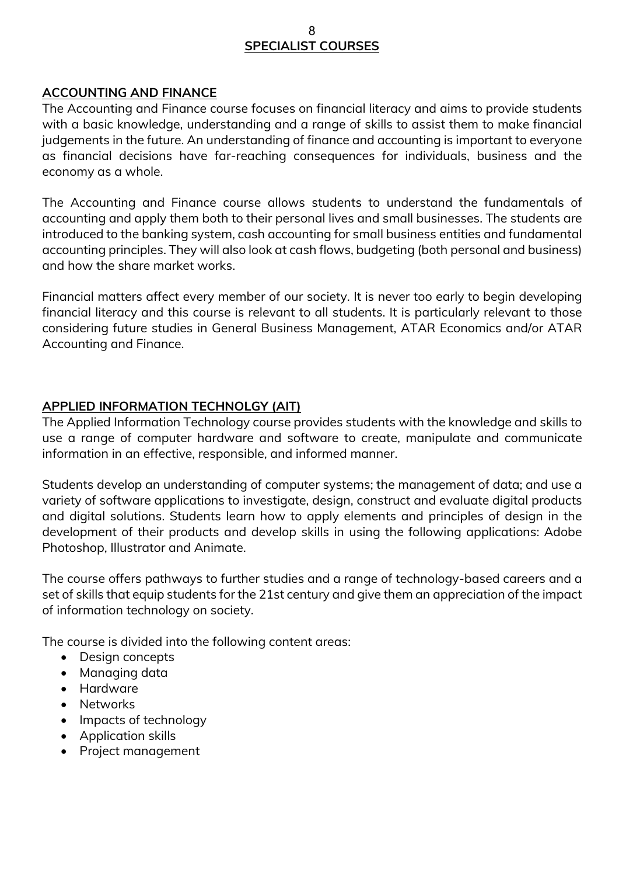# **SPECIALIST COURSES**

#### **ACCOUNTING AND FINANCE**

The Accounting and Finance course focuses on financial literacy and aims to provide students with a basic knowledge, understanding and a range of skills to assist them to make financial judgements in the future. An understanding of finance and accounting is important to everyone as financial decisions have far-reaching consequences for individuals, business and the economy as a whole.

The Accounting and Finance course allows students to understand the fundamentals of accounting and apply them both to their personal lives and small businesses. The students are introduced to the banking system, cash accounting for small business entities and fundamental accounting principles. They will also look at cash flows, budgeting (both personal and business) and how the share market works.

Financial matters affect every member of our society. It is never too early to begin developing financial literacy and this course is relevant to all students. It is particularly relevant to those considering future studies in General Business Management, ATAR Economics and/or ATAR Accounting and Finance.

### **APPLIED INFORMATION TECHNOLGY (AIT)**

The Applied Information Technology course provides students with the knowledge and skills to use a range of computer hardware and software to create, manipulate and communicate information in an effective, responsible, and informed manner.

Students develop an understanding of computer systems; the management of data; and use a variety of software applications to investigate, design, construct and evaluate digital products and digital solutions. Students learn how to apply elements and principles of design in the development of their products and develop skills in using the following applications: Adobe Photoshop, Illustrator and Animate.

The course offers pathways to further studies and a range of technology-based careers and a set of skills that equip students for the 21st century and give them an appreciation of the impact of information technology on society.

The course is divided into the following content areas:

- Design concepts
- Managing data
- Hardware
- Networks
- Impacts of technology
- Application skills
- Project management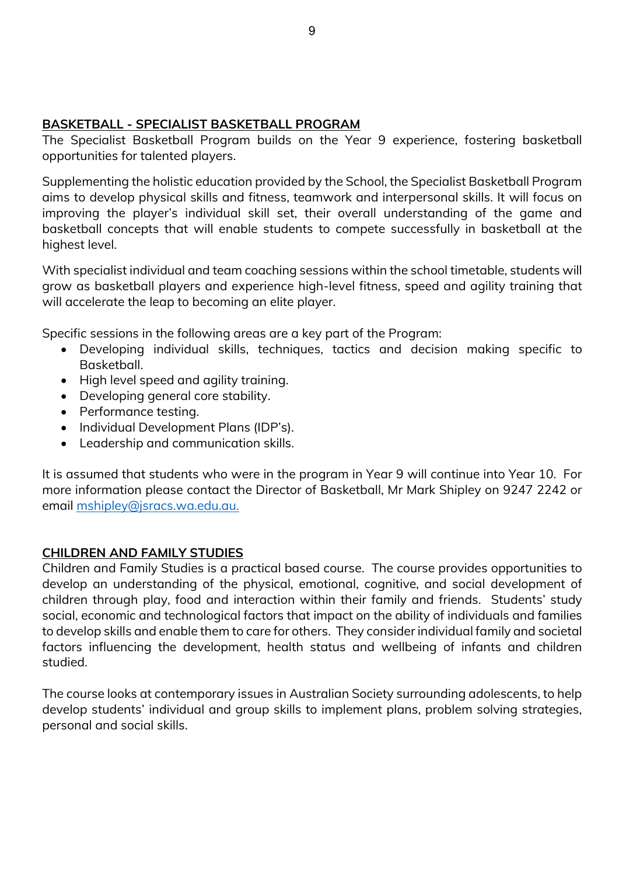# **BASKETBALL - SPECIALIST BASKETBALL PROGRAM**

The Specialist Basketball Program builds on the Year 9 experience, fostering basketball opportunities for talented players.

Supplementing the holistic education provided by the School, the Specialist Basketball Program aims to develop physical skills and fitness, teamwork and interpersonal skills. It will focus on improving the player's individual skill set, their overall understanding of the game and basketball concepts that will enable students to compete successfully in basketball at the highest level.

With specialist individual and team coaching sessions within the school timetable, students will grow as basketball players and experience high-level fitness, speed and agility training that will accelerate the leap to becoming an elite player.

Specific sessions in the following areas are a key part of the Program:

- Developing individual skills, techniques, tactics and decision making specific to Basketball.
- High level speed and agility training.
- Developing general core stability.
- Performance testing.
- Individual Development Plans (IDP's).
- Leadership and communication skills.

It is assumed that students who were in the program in Year 9 will continue into Year 10. For more information please contact the Director of Basketball, Mr Mark Shipley on 9247 2242 or email [mshipley@jsracs.wa.edu.au.](mailto:mshipley@jsracs.wa.edu.au)

### **CHILDREN AND FAMILY STUDIES**

Children and Family Studies is a practical based course. The course provides opportunities to develop an understanding of the physical, emotional, cognitive, and social development of children through play, food and interaction within their family and friends. Students' study social, economic and technological factors that impact on the ability of individuals and families to develop skills and enable them to care for others. They consider individual family and societal factors influencing the development, health status and wellbeing of infants and children studied.

The course looks at contemporary issues in Australian Society surrounding adolescents, to help develop students' individual and group skills to implement plans, problem solving strategies, personal and social skills.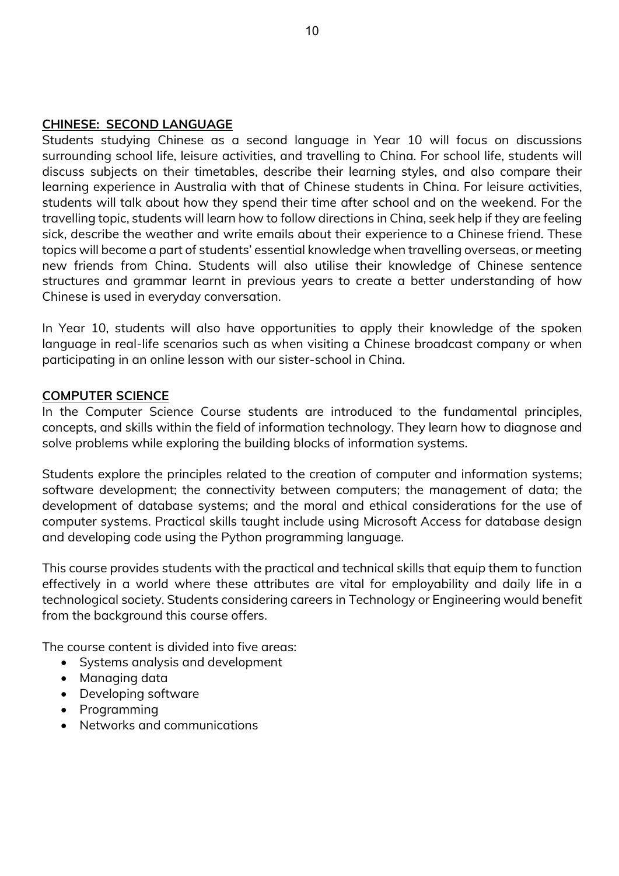#### **CHINESE: SECOND LANGUAGE**

Students studying Chinese as a second language in Year 10 will focus on discussions surrounding school life, leisure activities, and travelling to China. For school life, students will discuss subjects on their timetables, describe their learning styles, and also compare their learning experience in Australia with that of Chinese students in China. For leisure activities, students will talk about how they spend their time after school and on the weekend. For the travelling topic, students will learn how to follow directions in China, seek help if they are feeling sick, describe the weather and write emails about their experience to a Chinese friend. These topics will become a part of students' essential knowledge when travelling overseas, or meeting new friends from China. Students will also utilise their knowledge of Chinese sentence structures and grammar learnt in previous years to create a better understanding of how Chinese is used in everyday conversation.

In Year 10, students will also have opportunities to apply their knowledge of the spoken language in real-life scenarios such as when visiting a Chinese broadcast company or when participating in an online lesson with our sister-school in China.

### **COMPUTER SCIENCE**

In the Computer Science Course students are introduced to the fundamental principles, concepts, and skills within the field of information technology. They learn how to diagnose and solve problems while exploring the building blocks of information systems.

Students explore the principles related to the creation of computer and information systems; software development; the connectivity between computers; the management of data; the development of database systems; and the moral and ethical considerations for the use of computer systems. Practical skills taught include using Microsoft Access for database design and developing code using the Python programming language.

This course provides students with the practical and technical skills that equip them to function effectively in a world where these attributes are vital for employability and daily life in a technological society. Students considering careers in Technology or Engineering would benefit from the background this course offers.

The course content is divided into five areas:

- Systems analysis and development
- Managing data
- Developing software
- Programming
- Networks and communications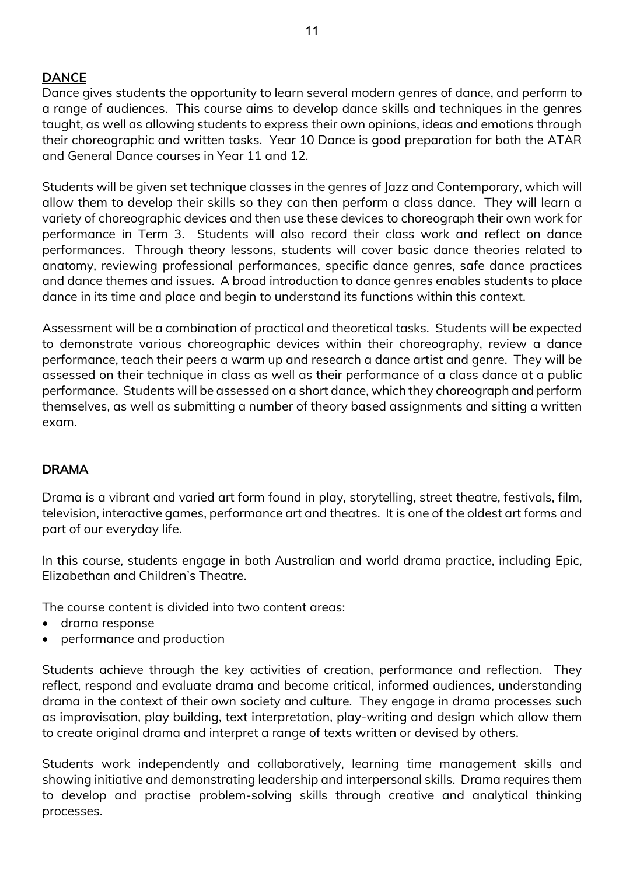# **DANCE**

Dance gives students the opportunity to learn several modern genres of dance, and perform to a range of audiences. This course aims to develop dance skills and techniques in the genres taught, as well as allowing students to express their own opinions, ideas and emotions through their choreographic and written tasks. Year 10 Dance is good preparation for both the ATAR and General Dance courses in Year 11 and 12.

Students will be given set technique classes in the genres of Jazz and Contemporary, which will allow them to develop their skills so they can then perform a class dance. They will learn a variety of choreographic devices and then use these devices to choreograph their own work for performance in Term 3. Students will also record their class work and reflect on dance performances. Through theory lessons, students will cover basic dance theories related to anatomy, reviewing professional performances, specific dance genres, safe dance practices and dance themes and issues. A broad introduction to dance genres enables students to place dance in its time and place and begin to understand its functions within this context.

Assessment will be a combination of practical and theoretical tasks. Students will be expected to demonstrate various choreographic devices within their choreography, review a dance performance, teach their peers a warm up and research a dance artist and genre. They will be assessed on their technique in class as well as their performance of a class dance at a public performance. Students will be assessed on a short dance, which they choreograph and perform themselves, as well as submitting a number of theory based assignments and sitting a written exam.

# **DRAMA**

Drama is a vibrant and varied art form found in play, storytelling, street theatre, festivals, film, television, interactive games, performance art and theatres. It is one of the oldest art forms and part of our everyday life.

In this course, students engage in both Australian and world drama practice, including Epic, Elizabethan and Children's Theatre.

The course content is divided into two content areas:

- drama response
- performance and production

Students achieve through the key activities of creation, performance and reflection. They reflect, respond and evaluate drama and become critical, informed audiences, understanding drama in the context of their own society and culture. They engage in drama processes such as improvisation, play building, text interpretation, play-writing and design which allow them to create original drama and interpret a range of texts written or devised by others.

Students work independently and collaboratively, learning time management skills and showing initiative and demonstrating leadership and interpersonal skills. Drama requires them to develop and practise problem-solving skills through creative and analytical thinking processes.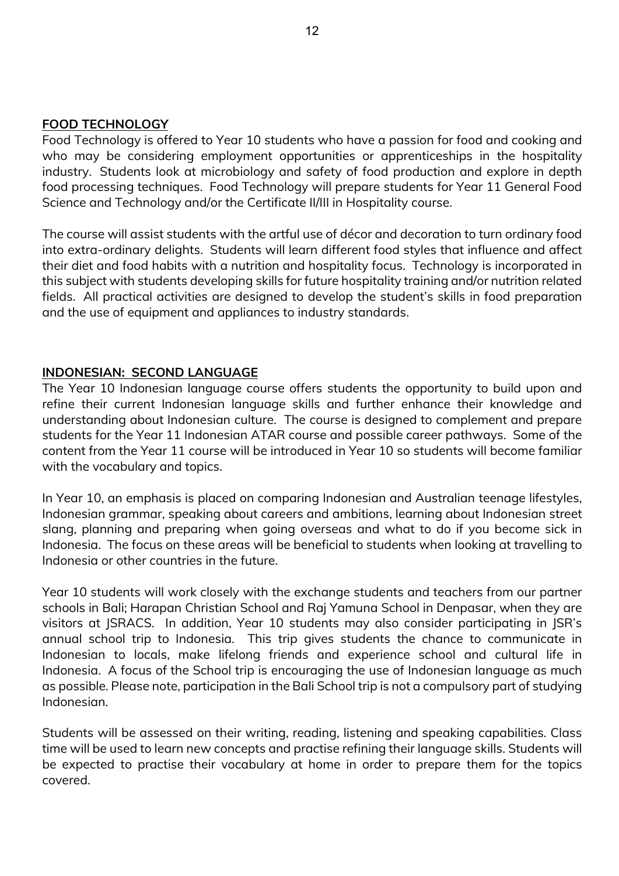#### **FOOD TECHNOLOGY**

Food Technology is offered to Year 10 students who have a passion for food and cooking and who may be considering employment opportunities or apprenticeships in the hospitality industry. Students look at microbiology and safety of food production and explore in depth food processing techniques. Food Technology will prepare students for Year 11 General Food Science and Technology and/or the Certificate II/III in Hospitality course.

The course will assist students with the artful use of décor and decoration to turn ordinary food into extra-ordinary delights. Students will learn different food styles that influence and affect their diet and food habits with a nutrition and hospitality focus. Technology is incorporated in this subject with students developing skills for future hospitality training and/or nutrition related fields. All practical activities are designed to develop the student's skills in food preparation and the use of equipment and appliances to industry standards.

#### **INDONESIAN: SECOND LANGUAGE**

The Year 10 Indonesian language course offers students the opportunity to build upon and refine their current Indonesian language skills and further enhance their knowledge and understanding about Indonesian culture. The course is designed to complement and prepare students for the Year 11 Indonesian ATAR course and possible career pathways. Some of the content from the Year 11 course will be introduced in Year 10 so students will become familiar with the vocabulary and topics.

In Year 10, an emphasis is placed on comparing Indonesian and Australian teenage lifestyles, Indonesian grammar, speaking about careers and ambitions, learning about Indonesian street slang, planning and preparing when going overseas and what to do if you become sick in Indonesia. The focus on these areas will be beneficial to students when looking at travelling to Indonesia or other countries in the future.

Year 10 students will work closely with the exchange students and teachers from our partner schools in Bali; Harapan Christian School and Raj Yamuna School in Denpasar, when they are visitors at JSRACS. In addition, Year 10 students may also consider participating in JSR's annual school trip to Indonesia. This trip gives students the chance to communicate in Indonesian to locals, make lifelong friends and experience school and cultural life in Indonesia. A focus of the School trip is encouraging the use of Indonesian language as much as possible. Please note, participation in the Bali School trip is not a compulsory part of studying Indonesian.

Students will be assessed on their writing, reading, listening and speaking capabilities. Class time will be used to learn new concepts and practise refining their language skills. Students will be expected to practise their vocabulary at home in order to prepare them for the topics covered.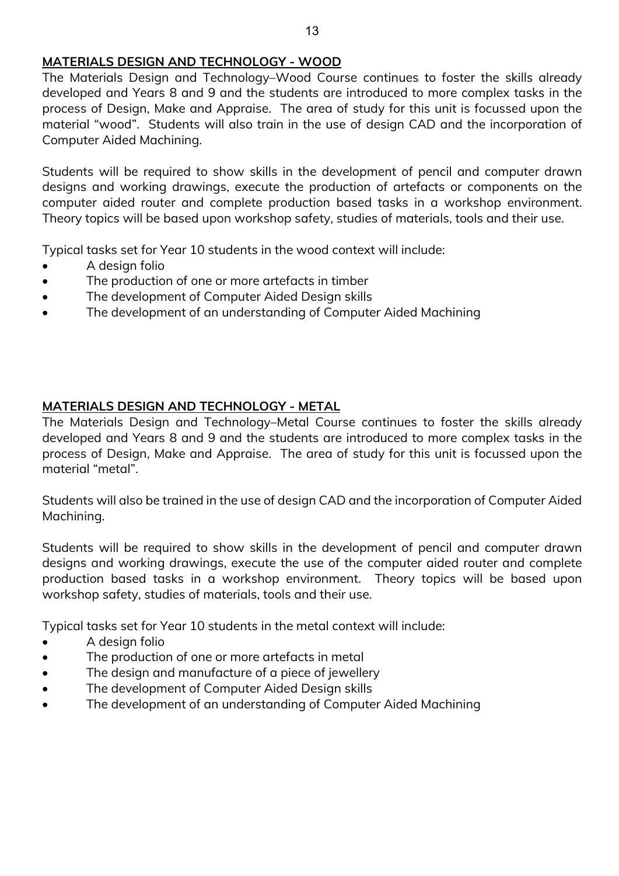## **MATERIALS DESIGN AND TECHNOLOGY - WOOD**

The Materials Design and Technology–Wood Course continues to foster the skills already developed and Years 8 and 9 and the students are introduced to more complex tasks in the process of Design, Make and Appraise. The area of study for this unit is focussed upon the material "wood". Students will also train in the use of design CAD and the incorporation of Computer Aided Machining.

Students will be required to show skills in the development of pencil and computer drawn designs and working drawings, execute the production of artefacts or components on the computer aided router and complete production based tasks in a workshop environment. Theory topics will be based upon workshop safety, studies of materials, tools and their use.

Typical tasks set for Year 10 students in the wood context will include:

- A design folio
- The production of one or more artefacts in timber
- The development of Computer Aided Design skills
- The development of an understanding of Computer Aided Machining

## **MATERIALS DESIGN AND TECHNOLOGY - METAL**

The Materials Design and Technology–Metal Course continues to foster the skills already developed and Years 8 and 9 and the students are introduced to more complex tasks in the process of Design, Make and Appraise. The area of study for this unit is focussed upon the material "metal".

Students will also be trained in the use of design CAD and the incorporation of Computer Aided Machining.

Students will be required to show skills in the development of pencil and computer drawn designs and working drawings, execute the use of the computer aided router and complete production based tasks in a workshop environment. Theory topics will be based upon workshop safety, studies of materials, tools and their use.

Typical tasks set for Year 10 students in the metal context will include:

- A design folio
- The production of one or more artefacts in metal
- The design and manufacture of a piece of jewellery
- The development of Computer Aided Design skills
- The development of an understanding of Computer Aided Machining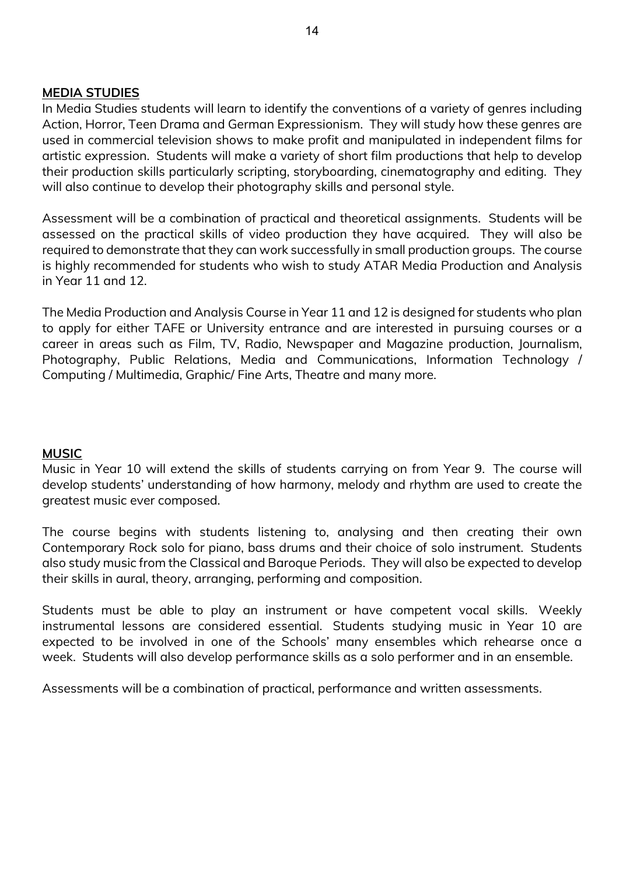#### **MEDIA STUDIES**

In Media Studies students will learn to identify the conventions of a variety of genres including Action, Horror, Teen Drama and German Expressionism. They will study how these genres are used in commercial television shows to make profit and manipulated in independent films for artistic expression. Students will make a variety of short film productions that help to develop their production skills particularly scripting, storyboarding, cinematography and editing. They will also continue to develop their photography skills and personal style.

Assessment will be a combination of practical and theoretical assignments. Students will be assessed on the practical skills of video production they have acquired. They will also be required to demonstrate that they can work successfully in small production groups. The course is highly recommended for students who wish to study ATAR Media Production and Analysis in Year 11 and 12.

The Media Production and Analysis Course in Year 11 and 12 is designed for students who plan to apply for either TAFE or University entrance and are interested in pursuing courses or a career in areas such as Film, TV, Radio, Newspaper and Magazine production, Journalism, Photography, Public Relations, Media and Communications, Information Technology / Computing / Multimedia, Graphic/ Fine Arts, Theatre and many more.

### **MUSIC**

Music in Year 10 will extend the skills of students carrying on from Year 9. The course will develop students' understanding of how harmony, melody and rhythm are used to create the greatest music ever composed.

The course begins with students listening to, analysing and then creating their own Contemporary Rock solo for piano, bass drums and their choice of solo instrument. Students also study music from the Classical and Baroque Periods. They will also be expected to develop their skills in aural, theory, arranging, performing and composition.

Students must be able to play an instrument or have competent vocal skills. Weekly instrumental lessons are considered essential. Students studying music in Year 10 are expected to be involved in one of the Schools' many ensembles which rehearse once a week. Students will also develop performance skills as a solo performer and in an ensemble.

Assessments will be a combination of practical, performance and written assessments.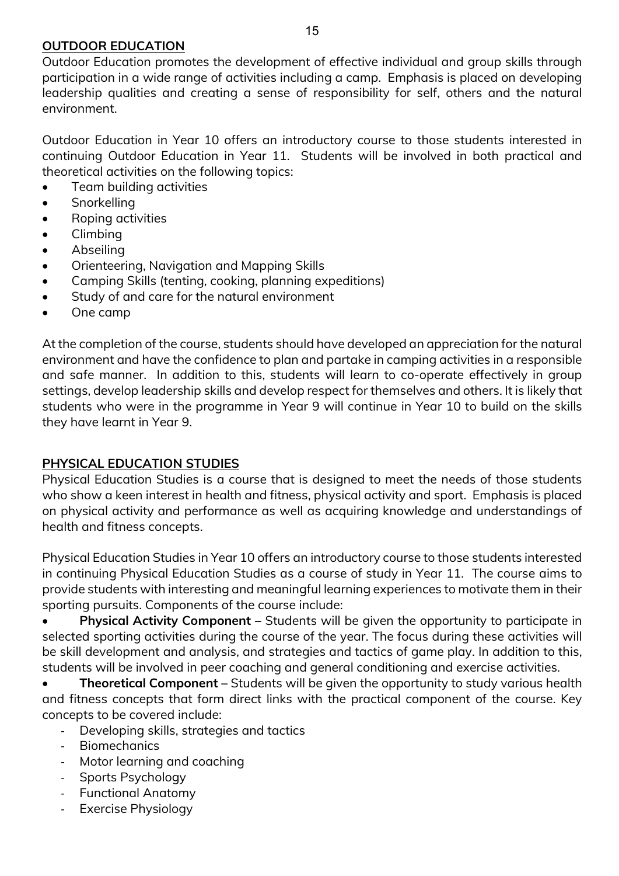### **OUTDOOR EDUCATION**

Outdoor Education promotes the development of effective individual and group skills through participation in a wide range of activities including a camp. Emphasis is placed on developing leadership qualities and creating a sense of responsibility for self, others and the natural environment.

Outdoor Education in Year 10 offers an introductory course to those students interested in continuing Outdoor Education in Year 11. Students will be involved in both practical and theoretical activities on the following topics:

- Team building activities
- Snorkelling
- Roping activities
- Climbing
- Abseiling
- Orienteering, Navigation and Mapping Skills
- Camping Skills (tenting, cooking, planning expeditions)
- Study of and care for the natural environment
- One camp

At the completion of the course, students should have developed an appreciation for the natural environment and have the confidence to plan and partake in camping activities in a responsible and safe manner. In addition to this, students will learn to co-operate effectively in group settings, develop leadership skills and develop respect for themselves and others. It is likely that students who were in the programme in Year 9 will continue in Year 10 to build on the skills they have learnt in Year 9.

# **PHYSICAL EDUCATION STUDIES**

Physical Education Studies is a course that is designed to meet the needs of those students who show a keen interest in health and fitness, physical activity and sport. Emphasis is placed on physical activity and performance as well as acquiring knowledge and understandings of health and fitness concepts.

Physical Education Studies in Year 10 offers an introductory course to those students interested in continuing Physical Education Studies as a course of study in Year 11. The course aims to provide students with interesting and meaningful learning experiences to motivate them in their sporting pursuits. Components of the course include:

• **Physical Activity Component –** Students will be given the opportunity to participate in selected sporting activities during the course of the year. The focus during these activities will be skill development and analysis, and strategies and tactics of game play. In addition to this, students will be involved in peer coaching and general conditioning and exercise activities.

• **Theoretical Component –** Students will be given the opportunity to study various health and fitness concepts that form direct links with the practical component of the course. Key concepts to be covered include:

- Developing skills, strategies and tactics
- Biomechanics
- Motor learning and coaching
- Sports Psychology
- Functional Anatomy
- Exercise Physiology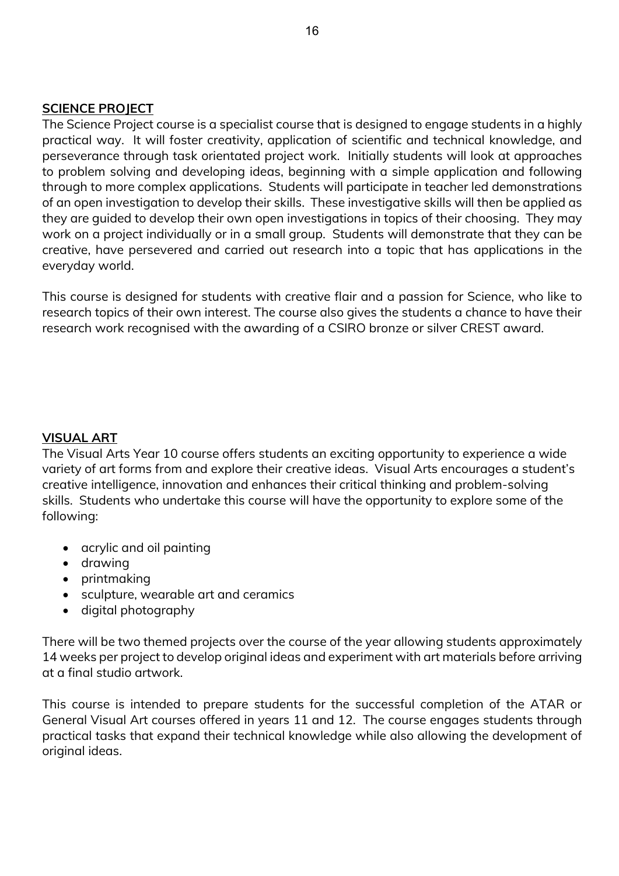#### **SCIENCE PROJECT**

The Science Project course is a specialist course that is designed to engage students in a highly practical way. It will foster creativity, application of scientific and technical knowledge, and perseverance through task orientated project work. Initially students will look at approaches to problem solving and developing ideas, beginning with a simple application and following through to more complex applications. Students will participate in teacher led demonstrations of an open investigation to develop their skills. These investigative skills will then be applied as they are guided to develop their own open investigations in topics of their choosing. They may work on a project individually or in a small group. Students will demonstrate that they can be creative, have persevered and carried out research into a topic that has applications in the everyday world.

This course is designed for students with creative flair and a passion for Science, who like to research topics of their own interest. The course also gives the students a chance to have their research work recognised with the awarding of a CSIRO bronze or silver CREST award.

#### **VISUAL ART**

The Visual Arts Year 10 course offers students an exciting opportunity to experience a wide variety of art forms from and explore their creative ideas. Visual Arts encourages a student's creative intelligence, innovation and enhances their critical thinking and problem-solving skills. Students who undertake this course will have the opportunity to explore some of the following:

- acrylic and oil painting
- drawing
- printmaking
- sculpture, wearable art and ceramics
- digital photography

There will be two themed projects over the course of the year allowing students approximately 14 weeks per project to develop original ideas and experiment with art materials before arriving at a final studio artwork.

This course is intended to prepare students for the successful completion of the ATAR or General Visual Art courses offered in years 11 and 12. The course engages students through practical tasks that expand their technical knowledge while also allowing the development of original ideas.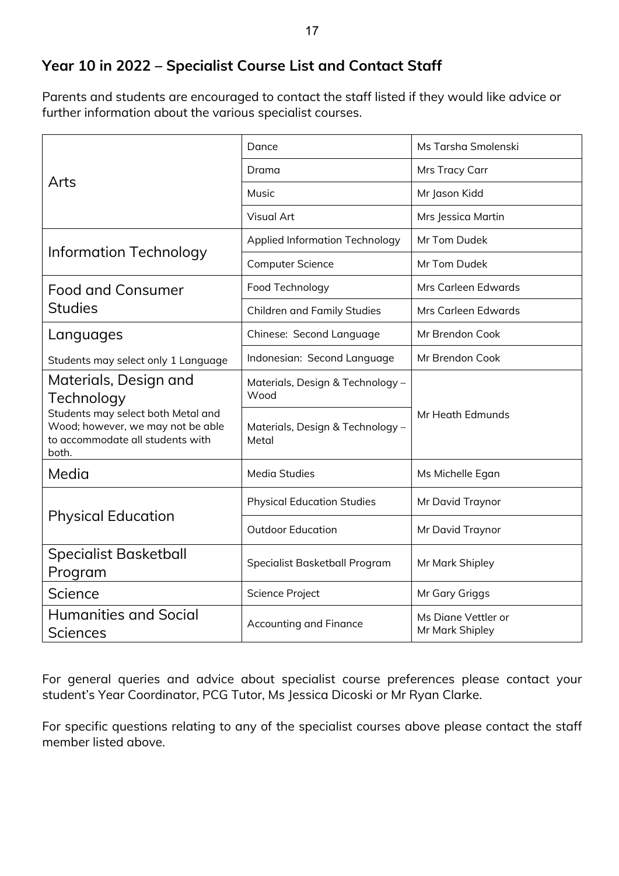# **Year 10 in 2022 – Specialist Course List and Contact Staff**

Parents and students are encouraged to contact the staff listed if they would like advice or further information about the various specialist courses.

|                                                                                                                      | Dance                                     | Ms Tarsha Smolenski                    |  |
|----------------------------------------------------------------------------------------------------------------------|-------------------------------------------|----------------------------------------|--|
|                                                                                                                      | Drama                                     | Mrs Tracy Carr                         |  |
| Arts                                                                                                                 | Music                                     | Mr Jason Kidd                          |  |
|                                                                                                                      | <b>Visual Art</b>                         | Mrs Jessica Martin                     |  |
|                                                                                                                      | <b>Applied Information Technology</b>     | Mr Tom Dudek                           |  |
| <b>Information Technology</b>                                                                                        | <b>Computer Science</b>                   | Mr Tom Dudek                           |  |
| <b>Food and Consumer</b>                                                                                             | Food Technology                           | Mrs Carleen Edwards                    |  |
| <b>Studies</b>                                                                                                       | <b>Children and Family Studies</b>        | Mrs Carleen Edwards                    |  |
| Languages                                                                                                            | Chinese: Second Language                  | Mr Brendon Cook                        |  |
| Students may select only 1 Language                                                                                  | Indonesian: Second Language               | Mr Brendon Cook                        |  |
| Materials, Design and<br>Technology                                                                                  | Materials, Design & Technology -<br>Wood  |                                        |  |
| Students may select both Metal and<br>Wood; however, we may not be able<br>to accommodate all students with<br>both. | Materials, Design & Technology -<br>Metal | Mr Heath Edmunds                       |  |
| Media                                                                                                                | <b>Media Studies</b>                      | Ms Michelle Egan                       |  |
|                                                                                                                      | <b>Physical Education Studies</b>         | Mr David Traynor                       |  |
| <b>Physical Education</b>                                                                                            | <b>Outdoor Education</b>                  | Mr David Traynor                       |  |
| <b>Specialist Basketball</b><br>Program                                                                              | Specialist Basketball Program             | Mr Mark Shipley                        |  |
| Science                                                                                                              | Science Project                           | Mr Gary Griggs                         |  |
| <b>Humanities and Social</b><br><b>Sciences</b>                                                                      | <b>Accounting and Finance</b>             | Ms Diane Vettler or<br>Mr Mark Shipley |  |

For general queries and advice about specialist course preferences please contact your student's Year Coordinator, PCG Tutor, Ms Jessica Dicoski or Mr Ryan Clarke.

For specific questions relating to any of the specialist courses above please contact the staff member listed above.